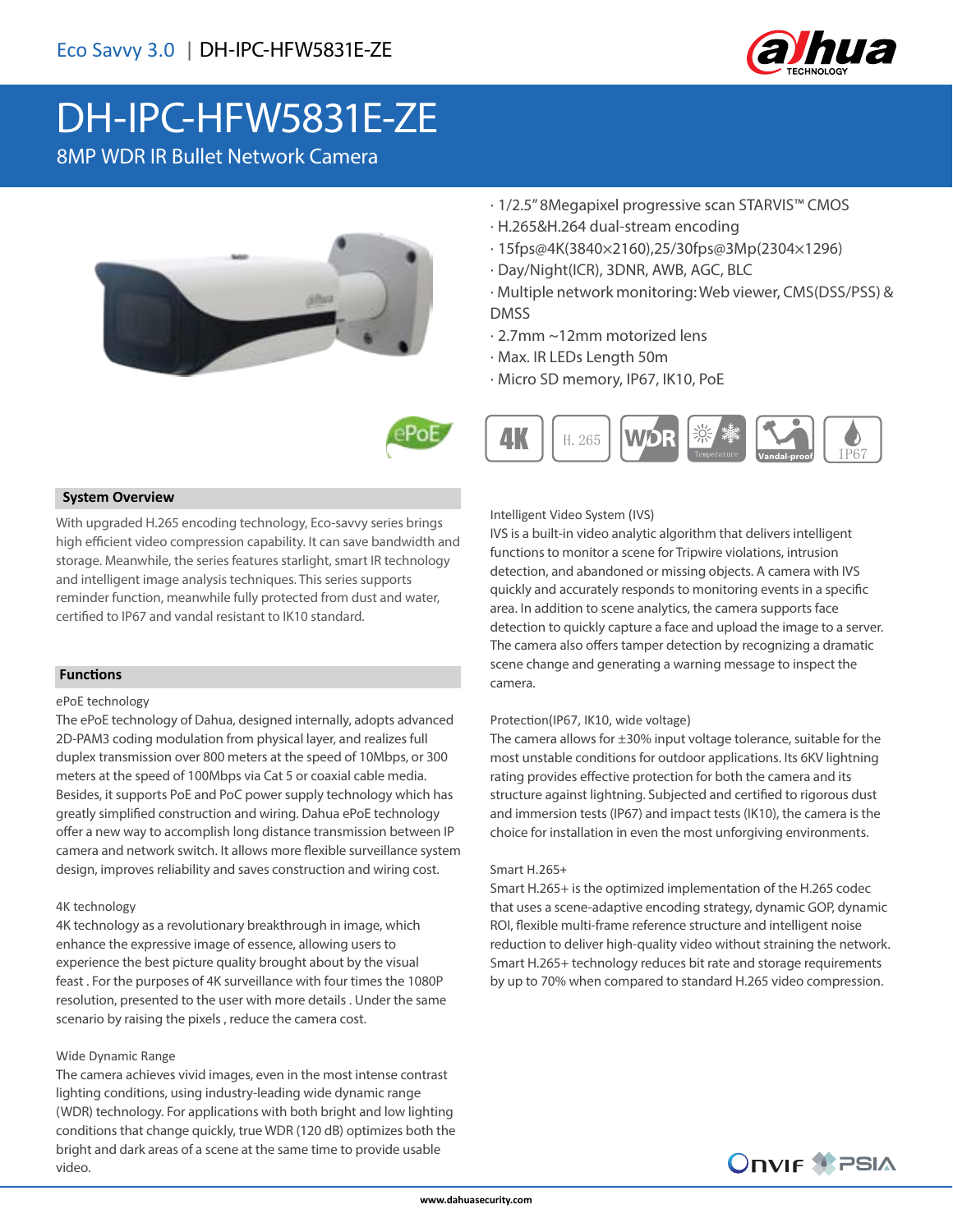

# DH-IPC-HFW5831E-ZE

8MP WDR IR Bullet Network Camera





- · H.265&H.264 dual-stream encoding
- · 15fps@4K(3840×2160),25/30fps@3Mp(2304×1296)
- · Day/Night(ICR), 3DNR, AWB, AGC, BLC
- · Multiple network monitoring: Web viewer, CMS(DSS/PSS) & DMSS
- · 2.7mm ~12mm motorized lens
- · Max. IR LEDs Length 50m
- · Micro SD memory, IP67, IK10, PoE





### **System Overview**

With upgraded H.265 encoding technology, Eco-savvy series brings high efficient video compression capability. It can save bandwidth and storage. Meanwhile, the series features starlight, smart IR technology and intelligent image analysis techniques. This series supports reminder function, meanwhile fully protected from dust and water, certified to IP67 and vandal resistant to IK10 standard.

### **Functions**

#### ePoE technology

The ePoE technology of Dahua, designed internally, adopts advanced 2D-PAM3 coding modulation from physical layer, and realizes full duplex transmission over 800 meters at the speed of 10Mbps, or 300 meters at the speed of 100Mbps via Cat 5 or coaxial cable media. Besides, it supports PoE and PoC power supply technology which has greatly simplified construction and wiring. Dahua ePoE technology offer a new way to accomplish long distance transmission between IP camera and network switch. It allows more flexible surveillance system design, improves reliability and saves construction and wiring cost.

### 4K technology

4K technology as a revolutionary breakthrough in image, which enhance the expressive image of essence, allowing users to experience the best picture quality brought about by the visual feast . For the purposes of 4K surveillance with four times the 1080P resolution, presented to the user with more details . Under the same scenario by raising the pixels , reduce the camera cost.

### Wide Dynamic Range

The camera achieves vivid images, even in the most intense contrast lighting conditions, using industry-leading wide dynamic range (WDR) technology. For applications with both bright and low lighting conditions that change quickly, true WDR (120 dB) optimizes both the bright and dark areas of a scene at the same time to provide usable video.

Intelligent Video System (IVS)

IVS is a built-in video analytic algorithm that delivers intelligent functions to monitor a scene for Tripwire violations, intrusion detection, and abandoned or missing objects. A camera with IVS quickly and accurately responds to monitoring events in a specific area. In addition to scene analytics, the camera supports face detection to quickly capture a face and upload the image to a server. The camera also offers tamper detection by recognizing a dramatic scene change and generating a warning message to inspect the camera.

### Protection(IP67, IK10, wide voltage)

The camera allows for  $\pm 30\%$  input voltage tolerance, suitable for the most unstable conditions for outdoor applications. Its 6KV lightning rating provides effective protection for both the camera and its structure against lightning. Subjected and certified to rigorous dust and immersion tests (IP67) and impact tests (IK10), the camera is the choice for installation in even the most unforgiving environments.

### Smart H.265+

Smart H.265+ is the optimized implementation of the H.265 codec that uses a scene-adaptive encoding strategy, dynamic GOP, dynamic ROI, flexible multi-frame reference structure and intelligent noise reduction to deliver high-quality video without straining the network. Smart H.265+ technology reduces bit rate and storage requirements by up to 70% when compared to standard H.265 video compression.

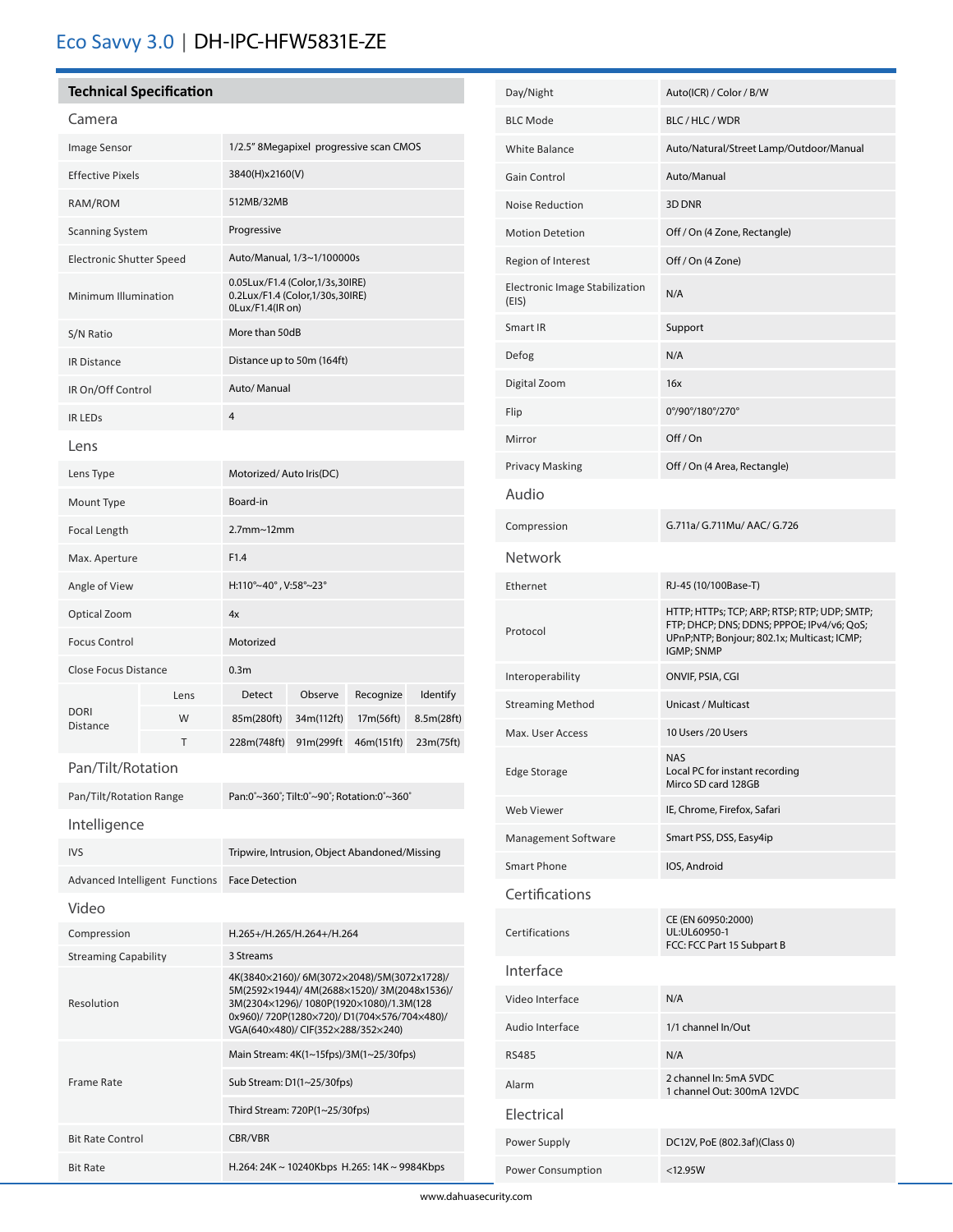# Eco Savvy 3.0 | DH-IPC-HFW5831E-ZE

# **Technical Specification**

# Camera

i

| Image Sensor                    |      | 1/2.5" 8Megapixel progressive scan CMOS                                                                                                                                                                                  |            |            |                 |
|---------------------------------|------|--------------------------------------------------------------------------------------------------------------------------------------------------------------------------------------------------------------------------|------------|------------|-----------------|
| <b>Effective Pixels</b>         |      | 3840(H)x2160(V)                                                                                                                                                                                                          |            |            |                 |
| RAM/ROM                         |      | 512MB/32MB                                                                                                                                                                                                               |            |            |                 |
| <b>Scanning System</b>          |      | Progressive                                                                                                                                                                                                              |            |            |                 |
| <b>Electronic Shutter Speed</b> |      | Auto/Manual, 1/3~1/100000s                                                                                                                                                                                               |            |            |                 |
| Minimum Illumination            |      | 0.05Lux/F1.4 (Color,1/3s,30IRE)<br>0.2Lux/F1.4 (Color,1/30s,30IRE)<br>0Lux/F1.4(IR on)                                                                                                                                   |            |            |                 |
| S/N Ratio                       |      | More than 50dB                                                                                                                                                                                                           |            |            |                 |
| <b>IR Distance</b>              |      | Distance up to 50m (164ft)                                                                                                                                                                                               |            |            |                 |
| IR On/Off Control               |      | Auto/ Manual                                                                                                                                                                                                             |            |            |                 |
| <b>IR LEDS</b>                  |      | 4                                                                                                                                                                                                                        |            |            |                 |
| Lens                            |      |                                                                                                                                                                                                                          |            |            |                 |
| Lens Type                       |      | Motorized/Auto Iris(DC)                                                                                                                                                                                                  |            |            |                 |
| Mount Type                      |      | Board-in                                                                                                                                                                                                                 |            |            |                 |
| Focal Length                    |      | $2.7$ mm $\sim$ 12mm                                                                                                                                                                                                     |            |            |                 |
| Max. Aperture                   |      | F1.4                                                                                                                                                                                                                     |            |            |                 |
| Angle of View                   |      | H:110°~40°, V:58°~23°                                                                                                                                                                                                    |            |            |                 |
| Optical Zoom                    |      | 4x                                                                                                                                                                                                                       |            |            |                 |
| <b>Focus Control</b>            |      | Motorized                                                                                                                                                                                                                |            |            |                 |
| <b>Close Focus Distance</b>     |      | 0.3 <sub>m</sub>                                                                                                                                                                                                         |            |            |                 |
| <b>DORI</b><br>Distance         | Lens | Detect                                                                                                                                                                                                                   | Observe    | Recognize  | <b>Identify</b> |
|                                 | W    | 85m(280ft)                                                                                                                                                                                                               | 34m(112ft) | 17m(56ft)  | 8.5m(28ft)      |
|                                 | Т    | 228m(748ft)                                                                                                                                                                                                              | 91m(299ft  | 46m(151ft) | 23m(75ft)       |
| Pan/Tilt/Rotation               |      |                                                                                                                                                                                                                          |            |            |                 |
| Pan/Tilt/Rotation Range         |      | Pan:0°~360°; Tilt:0°~90°; Rotation:0°~360°                                                                                                                                                                               |            |            |                 |
| Intelligence                    |      |                                                                                                                                                                                                                          |            |            |                 |
| <b>IVS</b>                      |      | Tripwire, Intrusion, Object Abandoned/Missing                                                                                                                                                                            |            |            |                 |
| Advanced Intelligent Functions  |      | <b>Face Detection</b>                                                                                                                                                                                                    |            |            |                 |
| Video                           |      |                                                                                                                                                                                                                          |            |            |                 |
| Compression                     |      | H.265+/H.265/H.264+/H.264                                                                                                                                                                                                |            |            |                 |
| <b>Streaming Capability</b>     |      | 3 Streams                                                                                                                                                                                                                |            |            |                 |
| Resolution                      |      | 4K(3840×2160)/6M(3072×2048)/5M(3072x1728)/<br>5M(2592×1944)/4M(2688×1520)/3M(2048x1536)/<br>3M(2304×1296)/ 1080P(1920×1080)/1.3M(128<br>0x960)/720P(1280×720)/D1(704×576/704×480)/<br>VGA(640×480)/ CIF(352×288/352×240) |            |            |                 |
|                                 |      | Main Stream: 4K(1~15fps)/3M(1~25/30fps)                                                                                                                                                                                  |            |            |                 |
| <b>Frame Rate</b>               |      | Sub Stream: D1(1~25/30fps)                                                                                                                                                                                               |            |            |                 |
|                                 |      | Third Stream: 720P(1~25/30fps)                                                                                                                                                                                           |            |            |                 |
| <b>Bit Rate Control</b>         |      | CBR/VBR                                                                                                                                                                                                                  |            |            |                 |
| <b>Bit Rate</b>                 |      | H.264: 24K ~ 10240Kbps H.265: 14K ~ 9984Kbps                                                                                                                                                                             |            |            |                 |

| Day/Night                                      | Auto(ICR) / Color / B/W                                                                                                                                 |  |  |  |
|------------------------------------------------|---------------------------------------------------------------------------------------------------------------------------------------------------------|--|--|--|
| <b>BLC Mode</b>                                | BLC/HLC/WDR                                                                                                                                             |  |  |  |
| White Balance                                  | Auto/Natural/Street Lamp/Outdoor/Manual                                                                                                                 |  |  |  |
| Gain Control                                   | Auto/Manual                                                                                                                                             |  |  |  |
| <b>Noise Reduction</b>                         | 3D DNR                                                                                                                                                  |  |  |  |
| <b>Motion Detetion</b>                         | Off / On (4 Zone, Rectangle)                                                                                                                            |  |  |  |
| Region of Interest                             | Off / On (4 Zone)                                                                                                                                       |  |  |  |
| <b>Electronic Image Stabilization</b><br>(EIS) | N/A                                                                                                                                                     |  |  |  |
| Smart IR                                       | Support                                                                                                                                                 |  |  |  |
| Defog                                          | N/A                                                                                                                                                     |  |  |  |
| Digital Zoom                                   | 16x                                                                                                                                                     |  |  |  |
| Flip                                           | 0°/90°/180°/270°                                                                                                                                        |  |  |  |
| Mirror                                         | Off/On                                                                                                                                                  |  |  |  |
| <b>Privacy Masking</b>                         | Off / On (4 Area, Rectangle)                                                                                                                            |  |  |  |
| Audio                                          |                                                                                                                                                         |  |  |  |
| Compression                                    | G.711a/ G.711Mu/ AAC/ G.726                                                                                                                             |  |  |  |
| Network                                        |                                                                                                                                                         |  |  |  |
| Ethernet                                       | RJ-45 (10/100Base-T)                                                                                                                                    |  |  |  |
| Protocol                                       | HTTP; HTTPs; TCP; ARP; RTSP; RTP; UDP; SMTP;<br>FTP; DHCP; DNS; DDNS; PPPOE; IPv4/v6; QoS;<br>UPnP;NTP; Bonjour; 802.1x; Multicast; ICMP;<br>IGMP; SNMP |  |  |  |
| Interoperability                               | ONVIF, PSIA, CGI                                                                                                                                        |  |  |  |
| <b>Streaming Method</b>                        | Unicast / Multicast                                                                                                                                     |  |  |  |
| Max. User Access                               | 10 Users /20 Users                                                                                                                                      |  |  |  |
| <b>Edge Storage</b>                            | <b>NAS</b><br>Local PC for instant recording<br>Mirco SD card 128GB                                                                                     |  |  |  |
| Web Viewer                                     | IE, Chrome, Firefox, Safari                                                                                                                             |  |  |  |
| Management Software                            | Smart PSS, DSS, Easy4ip                                                                                                                                 |  |  |  |
| Smart Phone                                    | IOS, Android                                                                                                                                            |  |  |  |
| Certifications                                 |                                                                                                                                                         |  |  |  |
| Certifications                                 | CE (EN 60950:2000)<br>UL:UL60950-1<br>FCC: FCC Part 15 Subpart B                                                                                        |  |  |  |
| Interface                                      |                                                                                                                                                         |  |  |  |
| Video Interface                                | N/A                                                                                                                                                     |  |  |  |
| Audio Interface                                | 1/1 channel In/Out                                                                                                                                      |  |  |  |
| <b>RS485</b>                                   | N/A                                                                                                                                                     |  |  |  |
| Alarm                                          | 2 channel In: 5mA 5VDC<br>1 channel Out: 300mA 12VDC                                                                                                    |  |  |  |
| Electrical                                     |                                                                                                                                                         |  |  |  |
| Power Supply                                   | DC12V, PoE (802.3af)(Class 0)                                                                                                                           |  |  |  |
| Power Consumption                              | $<12.95W$                                                                                                                                               |  |  |  |